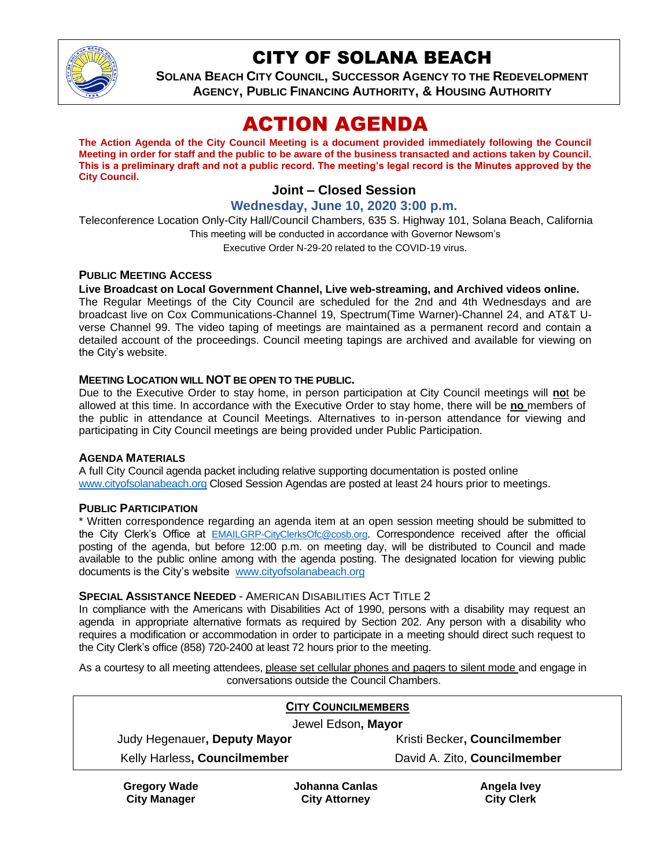

## CITY OF SOLANA BEACH

**SOLANA BEACH CITY COUNCIL, SUCCESSOR AGENCY TO THE REDEVELOPMENT AGENCY, PUBLIC FINANCING AUTHORITY, & HOUSING AUTHORITY**

# ACTION AGENDA

**The Action Agenda of the City Council Meeting is a document provided immediately following the Council Meeting in order for staff and the public to be aware of the business transacted and actions taken by Council. This is a preliminary draft and not a public record. The meeting's legal record is the Minutes approved by the City Council.**

## **Joint – Closed Session**

**Wednesday, June 10, 2020 3:00 p.m.**

Teleconference Location Only-City Hall/Council Chambers, 635 S. Highway 101, Solana Beach, California This meeting will be conducted in accordance with Governor Newsom's Executive Order N-29-20 related to the COVID-19 virus.

#### **PUBLIC MEETING ACCESS**

#### **Live Broadcast on Local Government Channel, Live web-streaming, and Archived videos online.**

The Regular Meetings of the City Council are scheduled for the 2nd and 4th Wednesdays and are broadcast live on Cox Communications-Channel 19, Spectrum(Time Warner)-Channel 24, and AT&T Uverse Channel 99. The video taping of meetings are maintained as a permanent record and contain a detailed account of the proceedings. Council meeting tapings are archived and available for viewing on the City's website.

#### **MEETING LOCATION WILL NOT BE OPEN TO THE PUBLIC.**

Due to the Executive Order to stay home, in person participation at City Council meetings will **no**t be allowed at this time. In accordance with the Executive Order to stay home, there will be **no** members of the public in attendance at Council Meetings. Alternatives to in-person attendance for viewing and participating in City Council meetings are being provided under Public Participation.

#### **AGENDA MATERIALS**

A full City Council agenda packet including relative supporting documentation is posted online [www.cityofsolanabeach.org](https://urldefense.proofpoint.com/v2/url?u=http-3A__www.cityofsolanabeach.org&d=DwQFAg&c=euGZstcaTDllvimEN8b7jXrwqOf-v5A_CdpgnVfiiMM&r=1XAsCUuqwK_tji2t0s1uIQ&m=wny2RVfZJ2tN24LkqZmkUWNpwL_peNtTZUBlTBZiMM4&s=6ATguqxJUOD7VVtloplAbyuyNaVcEh6Fl4q1iw55lCY&e=) Closed Session Agendas are posted at least 24 hours prior to meetings.

#### **PUBLIC PARTICIPATION**

**City Manager**

\* Written correspondence regarding an agenda item at an open session meeting should be submitted to the City Clerk's Office at [EMAILGRP-CityClerksOfc@cosb.org](mailto:EMAILGRP-CityClerksOfc@cosb.org). Correspondence received after the official posting of the agenda, but before 12:00 p.m. on meeting day, will be distributed to Council and made available to the public online among with the agenda posting. The designated location for viewing public documents is the City's website [www.cityofsolanabeach.org](http://www.cityofsolanabeach.org/)

#### **SPECIAL ASSISTANCE NEEDED** - AMERICAN DISABILITIES ACT TITLE 2

In compliance with the Americans with Disabilities Act of 1990, persons with a disability may request an agenda in appropriate alternative formats as required by Section 202. Any person with a disability who requires a modification or accommodation in order to participate in a meeting should direct such request to the City Clerk's office (858) 720-2400 at least 72 hours prior to the meeting.

As a courtesy to all meeting attendees, please set cellular phones and pagers to silent mode and engage in conversations outside the Council Chambers.

| <b>CITY COUNCILMEMBERS</b>   |                |                              |
|------------------------------|----------------|------------------------------|
| Jewel Edson, Mayor           |                |                              |
| Judy Hegenauer, Deputy Mayor |                | Kristi Becker, Councilmember |
| Kelly Harless, Councilmember |                | David A. Zito, Councilmember |
| <b>Gregory Wade</b>          | Johanna Canlas | Angela Ivey                  |

**City Clerk**

**City Attorney**